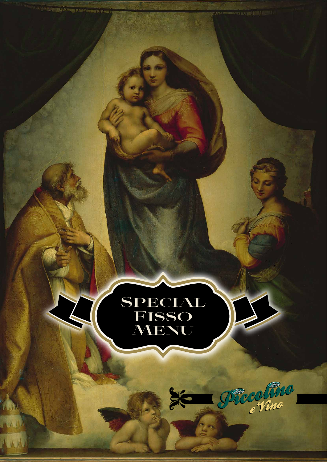